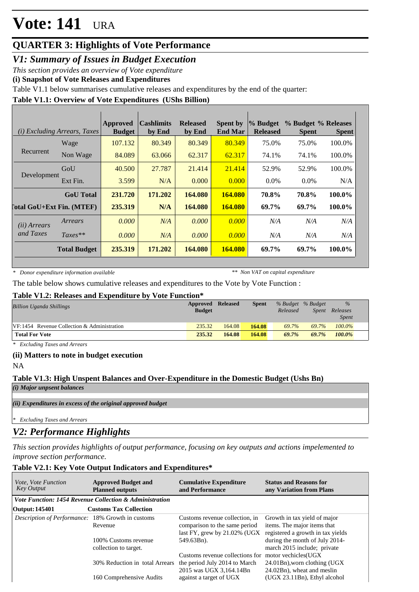## **QUARTER 3: Highlights of Vote Performance**

*V1: Summary of Issues in Budget Execution*

*This section provides an overview of Vote expenditure* 

**(i) Snapshot of Vote Releases and Expenditures**

Table V1.1 below summarises cumulative releases and expenditures by the end of the quarter:

### **Table V1.1: Overview of Vote Expenditures (UShs Billion)**

|                                  | ( <i>i</i> ) Excluding Arrears, Taxes | <b>Approved</b><br><b>Budget</b> | <b>Cashlimits</b><br>by End | <b>Released</b><br>by End | <b>Spent by</b><br><b>End Mar</b> | % Budget<br><b>Released</b> | % Budget % Releases<br><b>Spent</b> | <b>Spent</b> |
|----------------------------------|---------------------------------------|----------------------------------|-----------------------------|---------------------------|-----------------------------------|-----------------------------|-------------------------------------|--------------|
|                                  | Wage                                  | 107.132                          | 80.349                      | 80.349                    | 80.349                            | 75.0%                       | 75.0%                               | 100.0%       |
| Recurrent                        | Non Wage                              | 84.089                           | 63.066                      | 62.317                    | 62.317                            | 74.1%                       | 74.1%                               | 100.0%       |
|                                  | GoU                                   | 40.500                           | 27.787                      | 21.414                    | 21.414                            | 52.9%                       | 52.9%                               | 100.0%       |
| Development                      | Ext Fin.                              | 3.599                            | N/A                         | 0.000                     | 0.000                             | $0.0\%$                     | $0.0\%$                             | N/A          |
|                                  | <b>GoU</b> Total                      | 231.720                          | 171.202                     | 164.080                   | 164.080                           | 70.8%                       | 70.8%                               | 100.0%       |
| <b>Total GoU+Ext Fin. (MTEF)</b> |                                       | 235.319                          | N/A                         | 164.080                   | <b>164.080</b>                    | 69.7%                       | 69.7%                               | 100.0%       |
| (ii) Arrears                     | Arrears                               | 0.000                            | N/A                         | 0.000                     | 0.000                             | N/A                         | N/A                                 | N/A          |
| and Taxes                        | $Taxes**$                             | 0.000                            | N/A                         | 0.000                     | 0.000                             | N/A                         | N/A                                 | N/A          |
|                                  | <b>Total Budget</b>                   | 235.319                          | 171.202                     | 164.080                   | <b>164.080</b>                    | 69.7%                       | 69.7%                               | 100.0%       |

*\* Donor expenditure information available*

*\*\* Non VAT on capital expenditure*

The table below shows cumulative releases and expenditures to the Vote by Vote Function :

#### **Table V1.2: Releases and Expenditure by Vote Function\***

| Billion Uganda Shillings                    | Approved<br><b>Budget</b> | <b>Released</b> | <b>Spent</b> | % Budget % Budget<br>Released | Spent | $\%$<br>Releases<br><i>Spent</i> |
|---------------------------------------------|---------------------------|-----------------|--------------|-------------------------------|-------|----------------------------------|
| VF:1454 Revenue Collection & Administration | 235.32                    | 164.08          | 164.08       | 69.7%                         | 69.7% | $100.0\%$                        |
| <b>Total For Vote</b>                       | 235.32                    | 164.08          | 164.08       | 69.7%                         | 69.7% | $100.0\%$                        |

*\* Excluding Taxes and Arrears*

#### **(ii) Matters to note in budget execution**

NA

#### **Table V1.3: High Unspent Balances and Over-Expenditure in the Domestic Budget (Ushs Bn)** *(i) Major unpsent balances*

*(ii) Expenditures in excess of the original approved budget*

*\* Excluding Taxes and Arrears*

## *V2: Performance Highlights*

*This section provides highlights of output performance, focusing on key outputs and actions impelemented to improve section performance.*

### **Table V2.1: Key Vote Output Indicators and Expenditures\***

| <i>Vote, Vote Function</i><br>Key Output          | <b>Approved Budget and</b><br><b>Planned outputs</b>    | <b>Cumulative Expenditure</b><br>and Performance                                                                  | <b>Status and Reasons for</b><br>any Variation from Plans                                        |
|---------------------------------------------------|---------------------------------------------------------|-------------------------------------------------------------------------------------------------------------------|--------------------------------------------------------------------------------------------------|
|                                                   | Vote Function: 1454 Revenue Collection & Administration |                                                                                                                   |                                                                                                  |
| Output: 145401                                    | <b>Customs Tax Collection</b>                           |                                                                                                                   |                                                                                                  |
| Description of Performance: 18% Growth in customs | Revenue                                                 | Customs revenue collection, in<br>comparison to the same period<br>last FY, grew by $21.02\%$ (UGX                | Growth in tax yield of major<br>items. The major items that<br>registered a growth in tax yields |
|                                                   | 100% Customs revenue<br>collection to target.           | 549.63Bn).                                                                                                        | during the month of July 2014-<br>march 2015 include; private                                    |
|                                                   | 30% Reduction in total Arrears                          | Customs revenue collections for motor vechicles (UGX)<br>the period July 2014 to March<br>2015 was UGX 3,164.14Bn | $24.01$ Bn), worn clothing (UGX)<br>24.02Bn), wheat and meslin                                   |
|                                                   | 160 Comprehensive Audits                                | against a target of UGX                                                                                           | (UGX 23.11Bn), Ethyl alcohol                                                                     |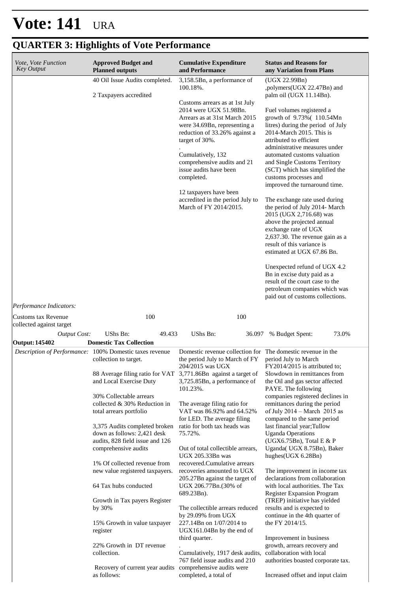| <i>Vote, Vote Function</i><br><b>Key Output</b> | <b>Approved Budget and</b><br><b>Planned outputs</b>                                                                                                                                                                                                                                                                                                                                                                                                                                                                                               | <b>Cumulative Expenditure</b><br>and Performance                                                                                                                                                                                                                                                                                                                                                                                                                                                                                                                           | <b>Status and Reasons for</b><br>any Variation from Plans                                                                                                                                                                                                                                                                                                                                                                                                                                                                                                                                                                                                                                                                                                                                                                                         |
|-------------------------------------------------|----------------------------------------------------------------------------------------------------------------------------------------------------------------------------------------------------------------------------------------------------------------------------------------------------------------------------------------------------------------------------------------------------------------------------------------------------------------------------------------------------------------------------------------------------|----------------------------------------------------------------------------------------------------------------------------------------------------------------------------------------------------------------------------------------------------------------------------------------------------------------------------------------------------------------------------------------------------------------------------------------------------------------------------------------------------------------------------------------------------------------------------|---------------------------------------------------------------------------------------------------------------------------------------------------------------------------------------------------------------------------------------------------------------------------------------------------------------------------------------------------------------------------------------------------------------------------------------------------------------------------------------------------------------------------------------------------------------------------------------------------------------------------------------------------------------------------------------------------------------------------------------------------------------------------------------------------------------------------------------------------|
|                                                 | 40 Oil Issue Audits completed.<br>2 Taxpayers accredited                                                                                                                                                                                                                                                                                                                                                                                                                                                                                           | 3,158.5Bn, a performance of<br>100.18%.<br>Customs arrears as at 1st July<br>2014 were UGX 51.98Bn.<br>Arrears as at 31st March 2015<br>were 34.69Bn, representing a<br>reduction of 33.26% against a<br>target of 30%.<br>Cumulatively, 132<br>comprehensive audits and 21<br>issue audits have been<br>completed.<br>12 taxpayers have been<br>accredited in the period July to<br>March of FY 2014/2015.                                                                                                                                                                | (UGX 22.99Bn)<br>,polymers(UGX 22.47Bn) and<br>palm oil (UGX 11.14Bn).<br>Fuel volumes registered a<br>growth of 9.73%(110.54Mn<br>litres) during the period of July<br>2014-March 2015. This is<br>attributed to efficient<br>administrative measures under<br>automated customs valuation<br>and Single Customs Territory<br>(SCT) which has simplified the<br>customs processes and<br>improved the turnaround time.<br>The exchange rate used during<br>the period of July 2014- March<br>2015 (UGX 2,716.68) was<br>above the projected annual<br>exchange rate of UGX<br>2,637.30. The revenue gain as a<br>result of this variance is<br>estimated at UGX 67.86 Bn.<br>Unexpected refund of UGX 4.2<br>Bn in excise duty paid as a<br>result of the court case to the<br>petroleum companies which was<br>paid out of customs collections. |
| Performance Indicators:                         |                                                                                                                                                                                                                                                                                                                                                                                                                                                                                                                                                    |                                                                                                                                                                                                                                                                                                                                                                                                                                                                                                                                                                            |                                                                                                                                                                                                                                                                                                                                                                                                                                                                                                                                                                                                                                                                                                                                                                                                                                                   |
| Customs tax Revenue<br>collected against target | 100                                                                                                                                                                                                                                                                                                                                                                                                                                                                                                                                                | 100                                                                                                                                                                                                                                                                                                                                                                                                                                                                                                                                                                        |                                                                                                                                                                                                                                                                                                                                                                                                                                                                                                                                                                                                                                                                                                                                                                                                                                                   |
| Output Cost:                                    | UShs Bn:<br>49.433                                                                                                                                                                                                                                                                                                                                                                                                                                                                                                                                 | UShs Bn:<br>36.097                                                                                                                                                                                                                                                                                                                                                                                                                                                                                                                                                         | 73.0%<br>% Budget Spent:                                                                                                                                                                                                                                                                                                                                                                                                                                                                                                                                                                                                                                                                                                                                                                                                                          |
| <b>Output: 145402</b>                           | <b>Domestic Tax Collection</b><br>Description of Performance: 100% Domestic taxes revenue                                                                                                                                                                                                                                                                                                                                                                                                                                                          | Domestic revenue collection for The domestic revenue in the                                                                                                                                                                                                                                                                                                                                                                                                                                                                                                                |                                                                                                                                                                                                                                                                                                                                                                                                                                                                                                                                                                                                                                                                                                                                                                                                                                                   |
|                                                 | collection to target.<br>88 Average filing ratio for VAT 3,771.86Bn against a target of<br>and Local Exercise Duty<br>30% Collectable arrears<br>collected & 30% Reduction in<br>total arrears portfolio<br>3,375 Audits completed broken<br>down as follows: 2,421 desk<br>audits, 828 field issue and 126<br>comprehensive audits<br>1% Of collected revenue from<br>new value registered taxpayers.<br>64 Tax hubs conducted<br>Growth in Tax payers Register<br>by 30%<br>15% Growth in value taxpayer<br>register<br>22% Growth in DT revenue | the period July to March of FY<br>204/2015 was UGX<br>3,725.85Bn, a performance of<br>101.23%.<br>The average filing ratio for<br>VAT was 86.92% and 64.52%<br>for LED. The average filing<br>ratio for both tax heads was<br>75.72%.<br>Out of total collectible arrears,<br>UGX 205.33Bn was<br>recovered.Cumulative arrears<br>recoveries amounted to UGX<br>205.27Bn against the target of<br>UGX 206.77Bn.(30% of<br>689.23Bn).<br>The collectible arrears reduced<br>by 29.09% from UGX<br>227.14Bn on 1/07/2014 to<br>$UGX161.04Bn$ by the end of<br>third quarter. | period July to March<br>FY2014/2015 is attributed to;<br>Slowdown in remittances from<br>the Oil and gas sector affected<br>PAYE. The following<br>companies registered declines in<br>remittances during the period<br>of July 2014 - March 2015 as<br>compared to the same period<br>last financial year; Tullow<br><b>Uganda Operations</b><br>(UGX6.75Bn), Total E & P<br>Uganda( UGX 8.75Bn), Baker<br>hughes(UGX 6.28Bn)<br>The improvement in income tax<br>declarations from collaboration<br>with local authorities. The Tax<br><b>Register Expansion Program</b><br>(TREP) initiative has yielded<br>results and is expected to<br>continue in the 4th quarter of<br>the FY 2014/15.<br>Improvement in business<br>growth, arrears recovery and                                                                                         |
|                                                 | collection.<br>Recovery of current year audits<br>as follows:                                                                                                                                                                                                                                                                                                                                                                                                                                                                                      | Cumulatively, 1917 desk audits,<br>767 field issue audits and 210<br>comprehensive audits were<br>completed, a total of                                                                                                                                                                                                                                                                                                                                                                                                                                                    | collaboration with local<br>authorities boasted corporate tax.<br>Increased offset and input claim                                                                                                                                                                                                                                                                                                                                                                                                                                                                                                                                                                                                                                                                                                                                                |

# **QUARTER 3: Highlights of Vote Performance**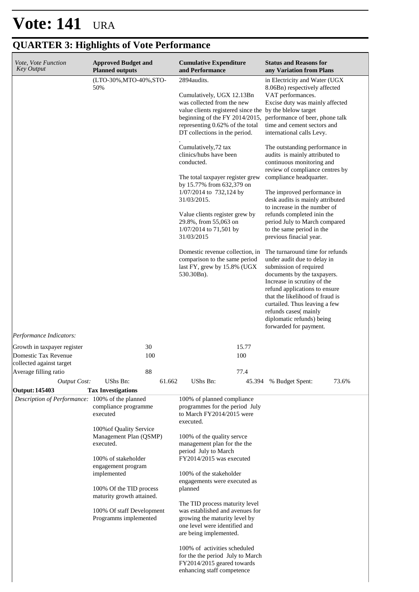| Vote, Vote Function<br><b>Key Output</b>            | <b>Approved Budget and</b><br><b>Planned outputs</b>                                                                                                                                                                                     |           | <b>Cumulative Expenditure</b><br>and Performance                                                                                                                                                                                                                                                                                                     |              | <b>Status and Reasons for</b><br>any Variation from Plans                                                                                                                                                                                                                                                                                                                                                                |       |
|-----------------------------------------------------|------------------------------------------------------------------------------------------------------------------------------------------------------------------------------------------------------------------------------------------|-----------|------------------------------------------------------------------------------------------------------------------------------------------------------------------------------------------------------------------------------------------------------------------------------------------------------------------------------------------------------|--------------|--------------------------------------------------------------------------------------------------------------------------------------------------------------------------------------------------------------------------------------------------------------------------------------------------------------------------------------------------------------------------------------------------------------------------|-------|
|                                                     | (LTO-30%, MTO-40%, STO-<br>50%                                                                                                                                                                                                           |           | 2894audits.<br>Cumulatively, UGX 12.13Bn<br>was collected from the new<br>value clients registered since the by the blelow target<br>beginning of the FY 2014/2015,<br>representing 0.62% of the total<br>DT collections in the period.                                                                                                              |              | in Electricity and Water (UGX<br>8.06Bn) respectively affected<br>VAT performances.<br>Excise duty was mainly affected<br>performance of beer, phone talk<br>time and cement sectors and<br>international calls Levy.                                                                                                                                                                                                    |       |
|                                                     |                                                                                                                                                                                                                                          |           | Cumulatively, 72 tax<br>clinics/hubs have been<br>conducted.<br>The total taxpayer register grew<br>by 15.77% from 632,379 on<br>1/07/2014 to 732,124 by<br>31/03/2015.<br>Value clients register grew by<br>29.8%, from 55,063 on<br>$1/07/2014$ to 71,501 by<br>31/03/2015<br>Domestic revenue collection, in                                      |              | The outstanding performance in<br>audits is mainly attributed to<br>continuous monitoring and<br>review of compliance centres by<br>compliance headquarter.<br>The improved performance in<br>desk audits is mainly attributed<br>to increase in the number of<br>refunds completed inin the<br>period July to March compared<br>to the same period in the<br>previous finacial year.<br>The turnaround time for refunds |       |
| Performance Indicators:                             |                                                                                                                                                                                                                                          |           | comparison to the same period<br>last FY, grew by 15.8% (UGX<br>530.30Bn).                                                                                                                                                                                                                                                                           |              | under audit due to delay in<br>submission of required<br>documents by the taxpayers.<br>Increase in scrutiny of the<br>refund applications to ensure<br>that the likelihood of fraud is<br>curtailed. Thus leaving a few<br>refunds cases(mainly<br>diplomatic refunds) being<br>forwarded for payment.                                                                                                                  |       |
| Growth in taxpayer register<br>Domestic Tax Revenue |                                                                                                                                                                                                                                          | 30<br>100 |                                                                                                                                                                                                                                                                                                                                                      | 15.77<br>100 |                                                                                                                                                                                                                                                                                                                                                                                                                          |       |
| collected against target<br>Average filling ratio   |                                                                                                                                                                                                                                          | 88        |                                                                                                                                                                                                                                                                                                                                                      | 77.4         |                                                                                                                                                                                                                                                                                                                                                                                                                          |       |
| <b>Output Cost:</b>                                 | UShs Bn:                                                                                                                                                                                                                                 | 61.662    | UShs Bn:                                                                                                                                                                                                                                                                                                                                             | 45.394       | % Budget Spent:                                                                                                                                                                                                                                                                                                                                                                                                          | 73.6% |
| <b>Output: 145403</b>                               | <b>Tax Investigations</b>                                                                                                                                                                                                                |           |                                                                                                                                                                                                                                                                                                                                                      |              |                                                                                                                                                                                                                                                                                                                                                                                                                          |       |
| Description of Performance: 100% of the planned     | compliance programme<br>executed                                                                                                                                                                                                         |           | 100% of planned compliance<br>programmes for the period July<br>to March FY2014/2015 were<br>executed.                                                                                                                                                                                                                                               |              |                                                                                                                                                                                                                                                                                                                                                                                                                          |       |
|                                                     | 100% of Quality Service<br>Management Plan (QSMP)<br>executed.<br>100% of stakeholder<br>engagement program<br>implemented<br>100% Of the TID process<br>maturity growth attained.<br>100% Of staff Development<br>Programms implemented |           | 100% of the quality servee<br>management plan for the the<br>period July to March<br>FY2014/2015 was executed<br>100% of the stakeholder<br>engagements were executed as<br>planned<br>The TID process maturity level<br>was established and avenues for<br>growing the maturity level by<br>one level were identified and<br>are being implemented. |              |                                                                                                                                                                                                                                                                                                                                                                                                                          |       |

# **QUARTER 3: Highlights of Vote Performance**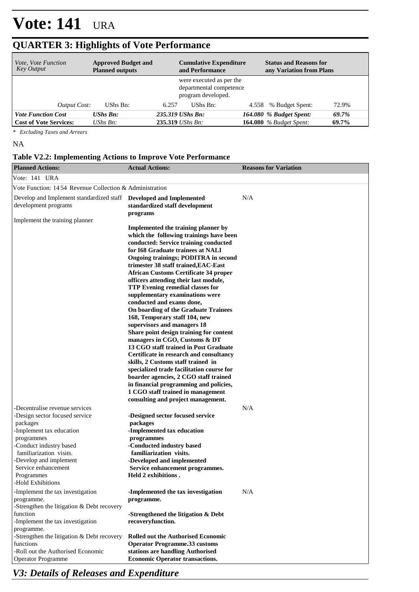| <i>Vote, Vote Function</i><br><b>Key Output</b> | <b>Approved Budget and</b><br><b>Planned outputs</b> |       | <b>Cumulative Expenditure</b><br>and Performance                          | <b>Status and Reasons for</b><br>any Variation from Plans |       |
|-------------------------------------------------|------------------------------------------------------|-------|---------------------------------------------------------------------------|-----------------------------------------------------------|-------|
|                                                 |                                                      |       | were executed as per the<br>departmental competence<br>program developed. |                                                           |       |
| Output Cost:                                    | UShs Bn:                                             | 6.257 | UShs Bn:                                                                  | 4.558 % Budget Spent:                                     | 72.9% |
| <b>Vote Function Cost</b>                       | <b>UShs Bn:</b>                                      |       | 235.319 UShs Bn:                                                          | 164.080 % Budget Spent:                                   | 69.7% |
| <b>Cost of Vote Services:</b>                   | UShs $B_n$ :                                         |       | 235.319 UShs Bn:                                                          | <b>164.080</b> % Budget Spent:                            | 69.7% |

## **QUARTER 3: Highlights of Vote Performance**

*\* Excluding Taxes and Arrears*

#### NA

#### **Table V2.2: Implementing Actions to Improve Vote Performance**

| <b>Planned Actions:</b>                                                                                                                                                                                                                         | <b>Actual Actions:</b>                                                                                                                                                                                                                                                                                                                                                                                                                                                                                                                                                                                                                                                                                                                                                                                                                                                                                                                                                    | <b>Reasons for Variation</b> |
|-------------------------------------------------------------------------------------------------------------------------------------------------------------------------------------------------------------------------------------------------|---------------------------------------------------------------------------------------------------------------------------------------------------------------------------------------------------------------------------------------------------------------------------------------------------------------------------------------------------------------------------------------------------------------------------------------------------------------------------------------------------------------------------------------------------------------------------------------------------------------------------------------------------------------------------------------------------------------------------------------------------------------------------------------------------------------------------------------------------------------------------------------------------------------------------------------------------------------------------|------------------------------|
| Vote: 141 URA                                                                                                                                                                                                                                   |                                                                                                                                                                                                                                                                                                                                                                                                                                                                                                                                                                                                                                                                                                                                                                                                                                                                                                                                                                           |                              |
| Vote Function: 1454 Revenue Collection & Administration                                                                                                                                                                                         |                                                                                                                                                                                                                                                                                                                                                                                                                                                                                                                                                                                                                                                                                                                                                                                                                                                                                                                                                                           |                              |
| Develop and Implement standardized staff  Developed and Implemented<br>development programs                                                                                                                                                     | standardized staff development<br>programs                                                                                                                                                                                                                                                                                                                                                                                                                                                                                                                                                                                                                                                                                                                                                                                                                                                                                                                                | N/A                          |
| Implement the training planner                                                                                                                                                                                                                  | Implemented the training planner by<br>which the following trainings have been<br>conducted: Service training conducted<br>for I68 Graduate trainees at NALI<br><b>Ongoing trainings; PODITRA in second</b><br>trimester 38 staff trained, EAC-East<br><b>African Customs Certificate 34 proper</b><br>officers attending their last module,<br>TTP Evening remedial classes for<br>supplementary examinations were<br>conducted and exams done,<br>On boarding of the Graduate Trainees<br>168, Temporary staff 104, new<br>supervisors and managers 18<br>Share point design training for content<br>managers in CGO, Customs & DT<br>13 CGO staff trained in Post Graduate<br>Certificate in research and consultancy<br>skills, 2 Customs staff trained in<br>specialized trade facilitation course for<br>boarder agencies, 2 CGO staff trained<br>in financial programming and policies,<br>1 CGO staff trained in management<br>consulting and project management. |                              |
| -Decentralise revenue services<br>-Design sector focused service<br>packages<br>-Implement tax education<br>programmes<br>-Conduct industry based<br>familiarization visits.<br>-Develop and implement<br>Service enhancement                   | -Designed sector focused service<br>packages<br>-Implemented tax education<br>programmes<br>-Conducted industry based<br>familiarization visits.<br>-Developed and implemented<br>Service enhancement programmes.                                                                                                                                                                                                                                                                                                                                                                                                                                                                                                                                                                                                                                                                                                                                                         | N/A                          |
| Programmes<br>-Hold Exhibitions<br>-Implement the tax investigation<br>programme.<br>-Strengthen the litigation $&$ Debt recovery<br>function<br>-Implement the tax investigation<br>programme.<br>-Strengthen the litigation $&$ Debt recovery | Held 2 exhibitions.<br>-Implemented the tax investigation<br>programme.<br>-Strengthened the litigation & Debt<br>recoveryfunction.<br><b>Rolled out the Authorised Economic</b>                                                                                                                                                                                                                                                                                                                                                                                                                                                                                                                                                                                                                                                                                                                                                                                          | N/A                          |
| functions<br>-Roll out the Authorised Economic<br><b>Operator Programme</b>                                                                                                                                                                     | <b>Operator Programme.33 customs</b><br>stations are handling Authorised<br><b>Economic Operator transactions.</b>                                                                                                                                                                                                                                                                                                                                                                                                                                                                                                                                                                                                                                                                                                                                                                                                                                                        |                              |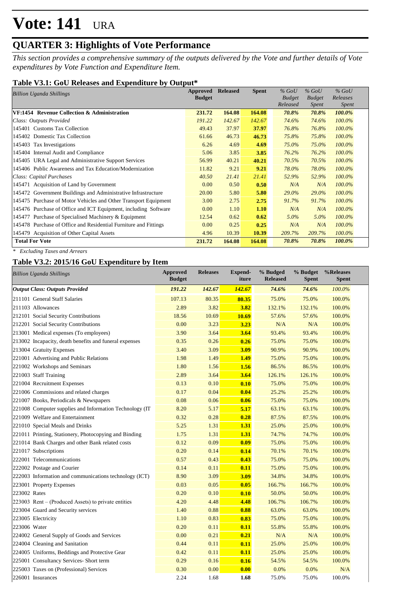## **QUARTER 3: Highlights of Vote Performance**

*This section provides a comprehensive summary of the outputs delivered by the Vote and further details of Vote expenditures by Vote Function and Expenditure Item.*

### **Table V3.1: GoU Releases and Expenditure by Output\***

| Billion Uganda Shillings                                         | Approved      | <b>Released</b> | <b>Spent</b> | $%$ GoU       | $%$ GoU       | $%$ GoU      |
|------------------------------------------------------------------|---------------|-----------------|--------------|---------------|---------------|--------------|
|                                                                  | <b>Budget</b> |                 |              | <b>Budget</b> | <b>Budget</b> | Releases     |
|                                                                  |               |                 |              | Released      | Spent         | <i>Spent</i> |
| VF:1454 Revenue Collection & Administration                      | 231.72        | 164.08          | 164.08       | 70.8%         | 70.8%         | 100.0%       |
| Class: Outputs Provided                                          | 191.22        | 142.67          | 142.67       | 74.6%         | 74.6%         | 100.0%       |
| 145401 Customs Tax Collection                                    | 49.43         | 37.97           | 37.97        | 76.8%         | 76.8%         | 100.0%       |
| 145402 Domestic Tax Collection                                   | 61.66         | 46.73           | 46.73        | 75.8%         | 75.8%         | 100.0%       |
| 145403 Tax Investigations                                        | 6.26          | 4.69            | 4.69         | 75.0%         | 75.0%         | 100.0%       |
| 145404 Internal Audit and Compliance                             | 5.06          | 3.85            | 3.85         | 76.2%         | 76.2%         | 100.0%       |
| 145405 URA Legal and Administrative Support Services             | 56.99         | 40.21           | 40.21        | 70.5%         | 70.5%         | 100.0%       |
| 145406 Public Awareness and Tax Education/Modernization          | 11.82         | 9.21            | 9.21         | 78.0%         | 78.0%         | 100.0%       |
| Class: Capital Purchases                                         | 40.50         | 21.41           | 21.41        | 52.9%         | 52.9%         | 100.0%       |
| 145471 Acquisition of Land by Government                         | 0.00          | 0.50            | 0.50         | N/A           | N/A           | $100.0\%$    |
| 145472 Government Buildings and Administrative Infrastructure    | 20.00         | 5.80            | 5.80         | $29.0\%$      | 29.0%         | 100.0%       |
| 145475 Purchase of Motor Vehicles and Other Transport Equipment  | 3.00          | 2.75            | 2.75         | 91.7%         | 91.7%         | 100.0%       |
| 145476 Purchase of Office and ICT Equipment, including Software  | 0.00          | 1.10            | 1.10         | N/A           | N/A           | 100.0%       |
| 145477 Purchase of Specialised Machinery & Equipment             | 12.54         | 0.62            | 0.62         | $5.0\%$       | $5.0\%$       | 100.0%       |
| 145478 Purchase of Office and Residential Furniture and Fittings | 0.00          | 0.25            | 0.25         | N/A           | N/A           | 100.0%       |
| 145479 Acquisition of Other Capital Assets                       | 4.96          | 10.39           | 10.39        | 209.7%        | 209.7%        | 100.0%       |
| <b>Total For Vote</b>                                            | 231.72        | 164.08          | 164.08       | 70.8%         | 70.8%         | 100.0%       |

*\* Excluding Taxes and Arrears*

### **Table V3.2: 2015/16 GoU Expenditure by Item**

| <b>Billion Uganda Shillings</b>                          | <b>Approved</b><br><b>Budget</b> | <b>Releases</b> | <b>Expend-</b><br>iture | % Budged<br><b>Released</b> | % Budget<br><b>Spent</b> | %Releases<br><b>Spent</b> |
|----------------------------------------------------------|----------------------------------|-----------------|-------------------------|-----------------------------|--------------------------|---------------------------|
| <b>Output Class: Outputs Provided</b>                    | 191.22                           | 142.67          | 142.67                  | 74.6%                       | 74.6%                    | 100.0%                    |
| 211101 General Staff Salaries                            | 107.13                           | 80.35           | 80.35                   | 75.0%                       | 75.0%                    | 100.0%                    |
| 211103 Allowances                                        | 2.89                             | 3.82            | 3.82                    | 132.1%                      | 132.1%                   | 100.0%                    |
| 212101 Social Security Contributions                     | 18.56                            | 10.69           | 10.69                   | 57.6%                       | 57.6%                    | 100.0%                    |
| 212201 Social Security Contributions                     | 0.00                             | 3.23            | 3.23                    | N/A                         | N/A                      | 100.0%                    |
| 213001 Medical expenses (To employees)                   | 3.90                             | 3.64            | 3.64                    | 93.4%                       | 93.4%                    | 100.0%                    |
| 213002 Incapacity, death benefits and funeral expenses   | 0.35                             | 0.26            | 0.26                    | 75.0%                       | 75.0%                    | 100.0%                    |
| 213004 Gratuity Expenses                                 | 3.40                             | 3.09            | 3.09                    | 90.9%                       | 90.9%                    | 100.0%                    |
| 221001 Advertising and Public Relations                  | 1.98                             | 1.49            | 1.49                    | 75.0%                       | 75.0%                    | 100.0%                    |
| 221002 Workshops and Seminars                            | 1.80                             | 1.56            | 1.56                    | 86.5%                       | 86.5%                    | 100.0%                    |
| 221003 Staff Training                                    | 2.89                             | 3.64            | 3.64                    | 126.1%                      | 126.1%                   | 100.0%                    |
| 221004 Recruitment Expenses                              | 0.13                             | 0.10            | 0.10                    | 75.0%                       | 75.0%                    | 100.0%                    |
| 221006 Commissions and related charges                   | 0.17                             | 0.04            | 0.04                    | 25.2%                       | 25.2%                    | 100.0%                    |
| 221007 Books, Periodicals & Newspapers                   | 0.08                             | 0.06            | 0.06                    | 75.0%                       | 75.0%                    | 100.0%                    |
| 221008 Computer supplies and Information Technology (IT) | 8.20                             | 5.17            | 5.17                    | 63.1%                       | 63.1%                    | 100.0%                    |
| 221009 Welfare and Entertainment                         | 0.32                             | 0.28            | 0.28                    | 87.5%                       | 87.5%                    | 100.0%                    |
| 221010 Special Meals and Drinks                          | 5.25                             | 1.31            | 1.31                    | 25.0%                       | 25.0%                    | 100.0%                    |
| 221011 Printing, Stationery, Photocopying and Binding    | 1.75                             | 1.31            | 1.31                    | 74.7%                       | 74.7%                    | 100.0%                    |
| 221014 Bank Charges and other Bank related costs         | 0.12                             | 0.09            | 0.09                    | 75.0%                       | 75.0%                    | 100.0%                    |
| 221017 Subscriptions                                     | 0.20                             | 0.14            | 0.14                    | 70.1%                       | 70.1%                    | 100.0%                    |
| 222001 Telecommunications                                | 0.57                             | 0.43            | 0.43                    | 75.0%                       | 75.0%                    | 100.0%                    |
| 222002 Postage and Courier                               | 0.14                             | 0.11            | 0.11                    | 75.0%                       | 75.0%                    | 100.0%                    |
| 222003 Information and communications technology (ICT)   | 8.90                             | 3.09            | 3.09                    | 34.8%                       | 34.8%                    | 100.0%                    |
| 223001 Property Expenses                                 | 0.03                             | 0.05            | 0.05                    | 166.7%                      | 166.7%                   | 100.0%                    |
| 223002 Rates                                             | 0.20                             | 0.10            | 0.10                    | 50.0%                       | 50.0%                    | 100.0%                    |
| $223003$ Rent – (Produced Assets) to private entities    | 4.20                             | 4.48            | 4.48                    | 106.7%                      | 106.7%                   | 100.0%                    |
| 223004 Guard and Security services                       | 1.40                             | 0.88            | 0.88                    | 63.0%                       | 63.0%                    | 100.0%                    |
| 223005 Electricity                                       | 1.10                             | 0.83            | 0.83                    | 75.0%                       | 75.0%                    | 100.0%                    |
| 223006 Water                                             | 0.20                             | 0.11            | 0.11                    | 55.8%                       | 55.8%                    | 100.0%                    |
| 224002 General Supply of Goods and Services              | 0.00                             | 0.21            | 0.21                    | N/A                         | N/A                      | 100.0%                    |
| 224004 Cleaning and Sanitation                           | 0.44                             | 0.11            | 0.11                    | 25.0%                       | 25.0%                    | 100.0%                    |
| 224005 Uniforms, Beddings and Protective Gear            | 0.42                             | 0.11            | 0.11                    | 25.0%                       | 25.0%                    | 100.0%                    |
| 225001 Consultancy Services- Short term                  | 0.29                             | 0.16            | 0.16                    | 54.5%                       | 54.5%                    | 100.0%                    |
| 225003 Taxes on (Professional) Services                  | 0.30                             | 0.00            | 0.00                    | 0.0%                        | 0.0%                     | N/A                       |
| 226001 Insurances                                        | 2.24                             | 1.68            | 1.68                    | 75.0%                       | 75.0%                    | 100.0%                    |